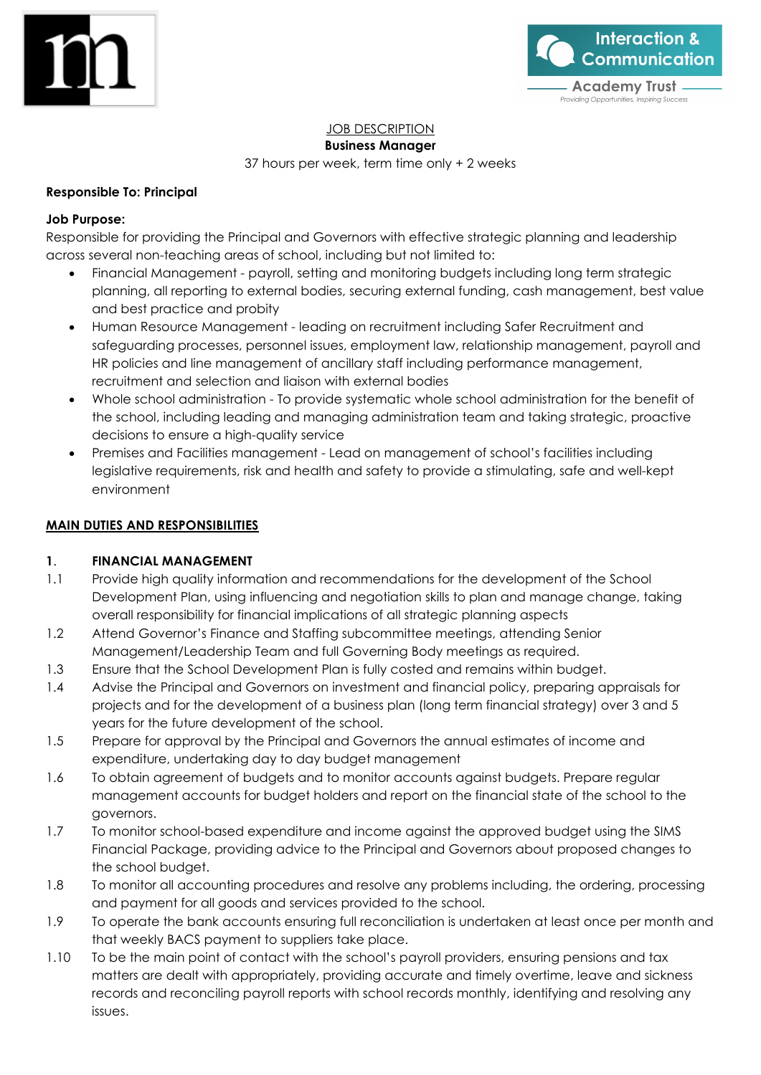



### JOB DESCRIPTION

#### **Business Manager**

37 hours per week, term time only + 2 weeks

#### **Responsible To: Principal**

#### **Job Purpose:**

Responsible for providing the Principal and Governors with effective strategic planning and leadership across several non-teaching areas of school, including but not limited to:

- Financial Management payroll, setting and monitoring budgets including long term strategic planning, all reporting to external bodies, securing external funding, cash management, best value and best practice and probity
- Human Resource Management leading on recruitment including Safer Recruitment and safeguarding processes, personnel issues, employment law, relationship management, payroll and HR policies and line management of ancillary staff including performance management, recruitment and selection and liaison with external bodies
- Whole school administration To provide systematic whole school administration for the benefit of the school, including leading and managing administration team and taking strategic, proactive decisions to ensure a high-quality service
- Premises and Facilities management Lead on management of school's facilities including legislative requirements, risk and health and safety to provide a stimulating, safe and well-kept environment

#### **MAIN DUTIES AND RESPONSIBILITIES**

#### **1**. **FINANCIAL MANAGEMENT**

- 1.1 Provide high quality information and recommendations for the development of the School Development Plan, using influencing and negotiation skills to plan and manage change, taking overall responsibility for financial implications of all strategic planning aspects
- 1.2 Attend Governor's Finance and Staffing subcommittee meetings, attending Senior Management/Leadership Team and full Governing Body meetings as required.
- 1.3 Ensure that the School Development Plan is fully costed and remains within budget.
- 1.4 Advise the Principal and Governors on investment and financial policy, preparing appraisals for projects and for the development of a business plan (long term financial strategy) over 3 and 5 years for the future development of the school.
- 1.5 Prepare for approval by the Principal and Governors the annual estimates of income and expenditure, undertaking day to day budget management
- 1.6 To obtain agreement of budgets and to monitor accounts against budgets. Prepare regular management accounts for budget holders and report on the financial state of the school to the governors.
- 1.7 To monitor school-based expenditure and income against the approved budget using the SIMS Financial Package, providing advice to the Principal and Governors about proposed changes to the school budget.
- 1.8 To monitor all accounting procedures and resolve any problems including, the ordering, processing and payment for all goods and services provided to the school.
- 1.9 To operate the bank accounts ensuring full reconciliation is undertaken at least once per month and that weekly BACS payment to suppliers take place.
- 1.10 To be the main point of contact with the school's payroll providers, ensuring pensions and tax matters are dealt with appropriately, providing accurate and timely overtime, leave and sickness records and reconciling payroll reports with school records monthly, identifying and resolving any issues.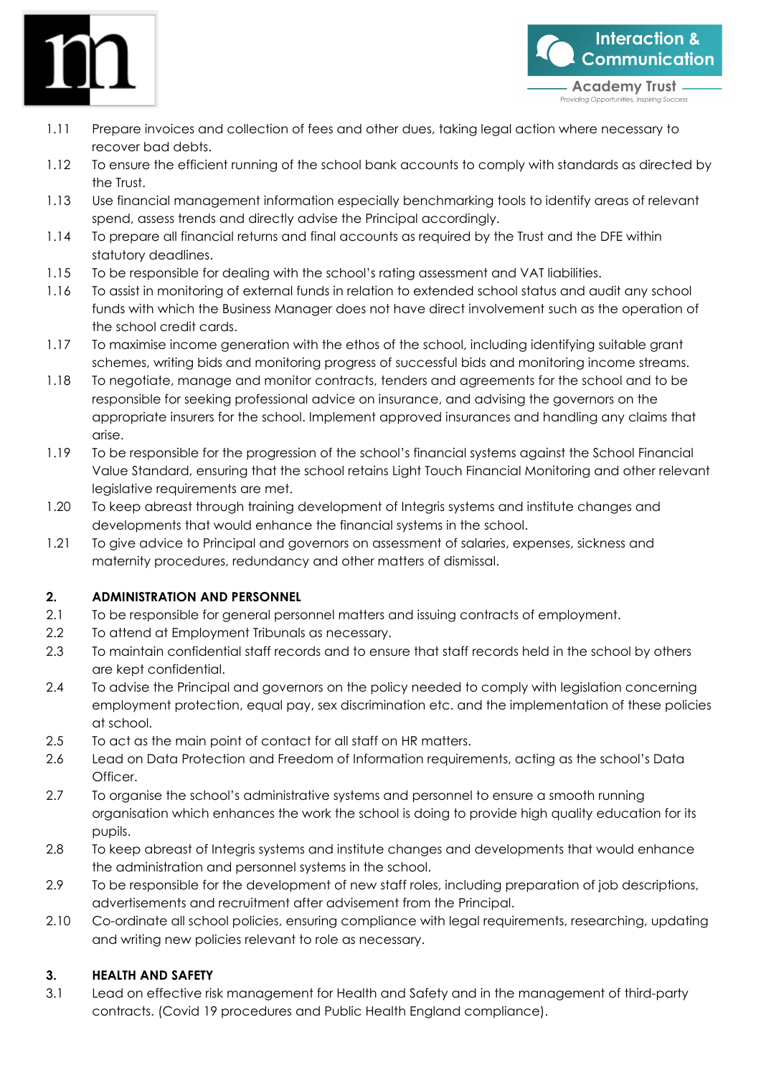

- **Interaction & Communication Academy Trust** Providing Opportunities, Inspiring Sue
- 1.11 Prepare invoices and collection of fees and other dues, taking legal action where necessary to recover bad debts.
- 1.12 To ensure the efficient running of the school bank accounts to comply with standards as directed by the Trust.
- 1.13 Use financial management information especially benchmarking tools to identify areas of relevant spend, assess trends and directly advise the Principal accordingly.
- 1.14 To prepare all financial returns and final accounts as required by the Trust and the DFE within statutory deadlines.
- 1.15 To be responsible for dealing with the school's rating assessment and VAT liabilities.
- 1.16 To assist in monitoring of external funds in relation to extended school status and audit any school funds with which the Business Manager does not have direct involvement such as the operation of the school credit cards.
- 1.17 To maximise income generation with the ethos of the school, including identifying suitable grant schemes, writing bids and monitoring progress of successful bids and monitoring income streams.
- 1.18 To negotiate, manage and monitor contracts, tenders and agreements for the school and to be responsible for seeking professional advice on insurance, and advising the governors on the appropriate insurers for the school. Implement approved insurances and handling any claims that arise.
- 1.19 To be responsible for the progression of the school's financial systems against the School Financial Value Standard, ensuring that the school retains Light Touch Financial Monitoring and other relevant legislative requirements are met.
- 1.20 To keep abreast through training development of Integris systems and institute changes and developments that would enhance the financial systems in the school.
- 1.21 To give advice to Principal and governors on assessment of salaries, expenses, sickness and maternity procedures, redundancy and other matters of dismissal.

## **2. ADMINISTRATION AND PERSONNEL**

- 2.1 To be responsible for general personnel matters and issuing contracts of employment.
- 2.2 To attend at Employment Tribunals as necessary.
- 2.3 To maintain confidential staff records and to ensure that staff records held in the school by others are kept confidential.
- 2.4 To advise the Principal and governors on the policy needed to comply with legislation concerning employment protection, equal pay, sex discrimination etc. and the implementation of these policies at school.
- 2.5 To act as the main point of contact for all staff on HR matters.
- 2.6 Lead on Data Protection and Freedom of Information requirements, acting as the school's Data Officer.
- 2.7 To organise the school's administrative systems and personnel to ensure a smooth running organisation which enhances the work the school is doing to provide high quality education for its pupils.
- 2.8 To keep abreast of Integris systems and institute changes and developments that would enhance the administration and personnel systems in the school.
- 2.9 To be responsible for the development of new staff roles, including preparation of job descriptions, advertisements and recruitment after advisement from the Principal.
- 2.10 Co-ordinate all school policies, ensuring compliance with legal requirements, researching, updating and writing new policies relevant to role as necessary.

# **3. HEALTH AND SAFETY**

3.1 Lead on effective risk management for Health and Safety and in the management of third-party contracts. (Covid 19 procedures and Public Health England compliance).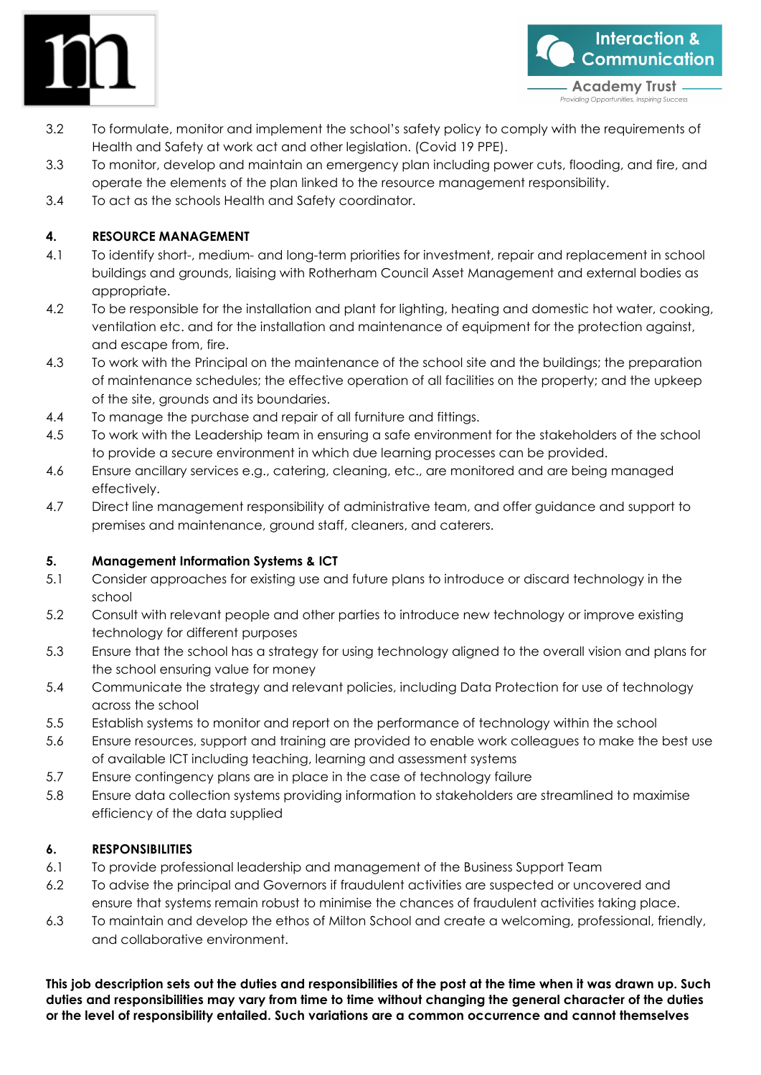



roviding Opportunities, Inspiring Success

- 3.2 To formulate, monitor and implement the school's safety policy to comply with the requirements of Health and Safety at work act and other legislation. (Covid 19 PPE).
- 3.3 To monitor, develop and maintain an emergency plan including power cuts, flooding, and fire, and operate the elements of the plan linked to the resource management responsibility.
- 3.4 To act as the schools Health and Safety coordinator.

## **4. RESOURCE MANAGEMENT**

- 4.1 To identify short-, medium- and long-term priorities for investment, repair and replacement in school buildings and grounds, liaising with Rotherham Council Asset Management and external bodies as appropriate.
- 4.2 To be responsible for the installation and plant for lighting, heating and domestic hot water, cooking, ventilation etc. and for the installation and maintenance of equipment for the protection against, and escape from, fire.
- 4.3 To work with the Principal on the maintenance of the school site and the buildings; the preparation of maintenance schedules; the effective operation of all facilities on the property; and the upkeep of the site, grounds and its boundaries.
- 4.4 To manage the purchase and repair of all furniture and fittings.
- 4.5 To work with the Leadership team in ensuring a safe environment for the stakeholders of the school to provide a secure environment in which due learning processes can be provided.
- 4.6 Ensure ancillary services e.g., catering, cleaning, etc., are monitored and are being managed effectively.
- 4.7 Direct line management responsibility of administrative team, and offer guidance and support to premises and maintenance, ground staff, cleaners, and caterers.

## **5. Management Information Systems & ICT**

- 5.1 Consider approaches for existing use and future plans to introduce or discard technology in the school
- 5.2 Consult with relevant people and other parties to introduce new technology or improve existing technology for different purposes
- 5.3 Ensure that the school has a strategy for using technology aligned to the overall vision and plans for the school ensuring value for money
- 5.4 Communicate the strategy and relevant policies, including Data Protection for use of technology across the school
- 5.5 Establish systems to monitor and report on the performance of technology within the school
- 5.6 Ensure resources, support and training are provided to enable work colleagues to make the best use of available ICT including teaching, learning and assessment systems
- 5.7 Ensure contingency plans are in place in the case of technology failure
- 5.8 Ensure data collection systems providing information to stakeholders are streamlined to maximise efficiency of the data supplied

## **6. RESPONSIBILITIES**

- 6.1 To provide professional leadership and management of the Business Support Team
- 6.2 To advise the principal and Governors if fraudulent activities are suspected or uncovered and ensure that systems remain robust to minimise the chances of fraudulent activities taking place.
- 6.3 To maintain and develop the ethos of Milton School and create a welcoming, professional, friendly, and collaborative environment.

**This job description sets out the duties and responsibilities of the post at the time when it was drawn up. Such duties and responsibilities may vary from time to time without changing the general character of the duties or the level of responsibility entailed. Such variations are a common occurrence and cannot themselves**